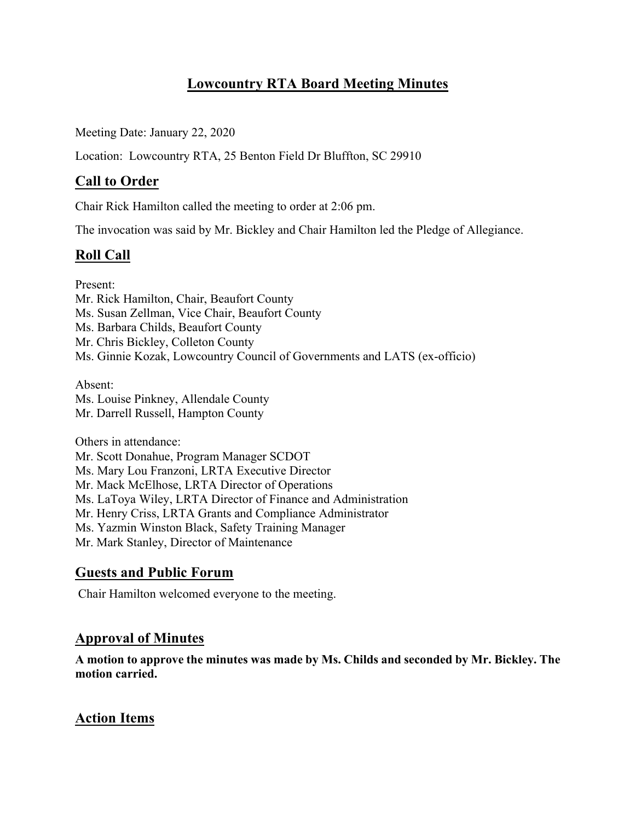# **Lowcountry RTA Board Meeting Minutes**

Meeting Date: January 22, 2020

Location: Lowcountry RTA, 25 Benton Field Dr Bluffton, SC 29910

## **Call to Order**

Chair Rick Hamilton called the meeting to order at 2:06 pm.

The invocation was said by Mr. Bickley and Chair Hamilton led the Pledge of Allegiance.

# **Roll Call**

Present: Mr. Rick Hamilton, Chair, Beaufort County Ms. Susan Zellman, Vice Chair, Beaufort County Ms. Barbara Childs, Beaufort County Mr. Chris Bickley, Colleton County Ms. Ginnie Kozak, Lowcountry Council of Governments and LATS (ex-officio)

Absent: Ms. Louise Pinkney, Allendale County Mr. Darrell Russell, Hampton County

Others in attendance: Mr. Scott Donahue, Program Manager SCDOT Ms. Mary Lou Franzoni, LRTA Executive Director Mr. Mack McElhose, LRTA Director of Operations Ms. LaToya Wiley, LRTA Director of Finance and Administration Mr. Henry Criss, LRTA Grants and Compliance Administrator Ms. Yazmin Winston Black, Safety Training Manager Mr. Mark Stanley, Director of Maintenance

## **Guests and Public Forum**

Chair Hamilton welcomed everyone to the meeting.

## **Approval of Minutes**

**A motion to approve the minutes was made by Ms. Childs and seconded by Mr. Bickley. The motion carried.**

## **Action Items**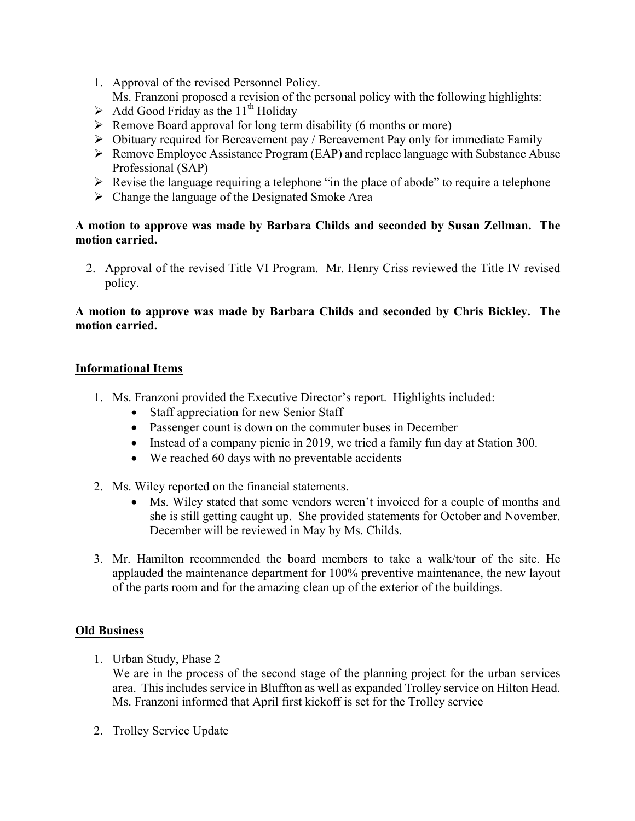- 1. Approval of the revised Personnel Policy. Ms. Franzoni proposed a revision of the personal policy with the following highlights:
- $\triangleright$  Add Good Friday as the 11<sup>th</sup> Holiday
- $\triangleright$  Remove Board approval for long term disability (6 months or more)
- $\triangleright$  Obituary required for Bereavement pay / Bereavement Pay only for immediate Family
- $\triangleright$  Remove Employee Assistance Program (EAP) and replace language with Substance Abuse Professional (SAP)
- $\triangleright$  Revise the language requiring a telephone "in the place of abode" to require a telephone
- $\triangleright$  Change the language of the Designated Smoke Area

### **A motion to approve was made by Barbara Childs and seconded by Susan Zellman. The motion carried.**

2. Approval of the revised Title VI Program. Mr. Henry Criss reviewed the Title IV revised policy.

### **A motion to approve was made by Barbara Childs and seconded by Chris Bickley. The motion carried.**

#### **Informational Items**

- 1. Ms. Franzoni provided the Executive Director's report. Highlights included:
	- Staff appreciation for new Senior Staff
	- Passenger count is down on the commuter buses in December
	- Instead of a company picnic in 2019, we tried a family fun day at Station 300.
	- We reached 60 days with no preventable accidents
- 2. Ms. Wiley reported on the financial statements.
	- Ms. Wiley stated that some vendors weren't invoiced for a couple of months and she is still getting caught up. She provided statements for October and November. December will be reviewed in May by Ms. Childs.
- 3. Mr. Hamilton recommended the board members to take a walk/tour of the site. He applauded the maintenance department for 100% preventive maintenance, the new layout of the parts room and for the amazing clean up of the exterior of the buildings.

### **Old Business**

1. Urban Study, Phase 2

We are in the process of the second stage of the planning project for the urban services area. This includes service in Bluffton as well as expanded Trolley service on Hilton Head. Ms. Franzoni informed that April first kickoff is set for the Trolley service

2. Trolley Service Update